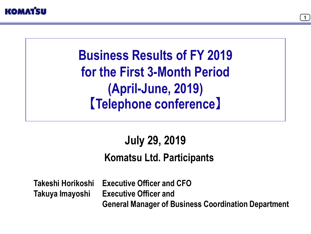



# **Business Results of FY 2019 for the First 3-Month Period (April-June, 2019) 【Telephone conference】**

# **July 29, 2019 Komatsu Ltd. Participants**

**Takeshi Horikoshi Takuya Imayoshi**

**Executive Officer and CFO Executive Officer and General Manager of Business Coordination Department**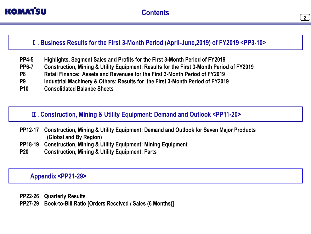

### Ⅰ**. Business Results for the First 3-Month Period (April-June,2019) of FY2019 <PP3-10>**

- **Highlights, Segment Sales and Profits for the First 3-Month Period of FY2019 PP4-5**
- **Construction, Mining & Utility Equipment: Results for the First 3-Month Period of FY2019 PP6-7**
- **Retail Finance: Assets and Revenues for the First 3-Month Period of FY2019 P8**
- **Industrial Machinery & Others: Results for the First 3-Month Period of FY2019 P9**
- **Consolidated Balance Sheets P10**

## Ⅱ**. Construction, Mining & Utility Equipment: Demand and Outlook <PP11-20>**

- **Construction, Mining & Utility Equipment: Demand and Outlook for Seven Major Products (Global and By Region) PP12-17**
- **Construction, Mining & Utility Equipment: Mining Equipment PP18-19**
- **Construction, Mining & Utility Equipment: Parts P20**

### **Appendix <PP21-29>**

**Quarterly Results PP22-26 Book-to-Bill Ratio [Orders Received / Sales (6 Months)] PP27-29**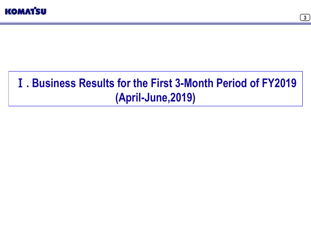

# Ⅰ**. Business Results for the First 3-Month Period of FY2019 (April-June,2019)**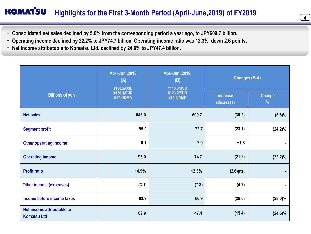### **KOMAT'SU Highlights for the First 3-Month Period (April-June,2019) of FY2019**

 $\overline{4}$ 

- **・ Consolidated net sales declined by 5.6% from the corresponding period a year ago, to JPY609.7 billion.**
- **・ Operating income declined by 22.2% to JPY74.7 billion. Operating income ratio was 12.3%, down 2.6 points.**
- **・ Net income attributable to Komatsu Ltd. declined by 24.6% to JPY47.4 billion.**

|                                                  | Apr.-Jun., 2018<br>(A)<br>¥108.2/USD | Apr.-Jun., 2019<br>(B)<br>¥110.0/USD | <b>Changes (B-A)</b>   |                                |
|--------------------------------------------------|--------------------------------------|--------------------------------------|------------------------|--------------------------------|
| <b>Billions of yen</b>                           | ¥130.1/EUR<br>¥17.1/RMB              | ¥123.2/EUR<br>¥16.2/RMB              | increase<br>(decrease) | <b>Change</b><br>$\frac{9}{6}$ |
| <b>Net sales</b>                                 | 646.0                                | 609.7                                | (36.2)                 | $(5.6)\%$                      |
| <b>Segment profit</b>                            | 95.9                                 | 72.7                                 | (23.1)                 | $(24.2)\%$                     |
| <b>Other operating income</b>                    | 0.1                                  | 2.0                                  | $+1.8$                 |                                |
| <b>Operating income</b>                          | 96.0                                 | 74.7                                 | (21.2)                 | $(22.2)\%$                     |
| <b>Profit ratio</b>                              | 14.9%                                | 12.3%                                | $(2.6)$ pts.           |                                |
| <b>Other income (expenses)</b>                   | (3.1)                                | (7.8)                                | (4.7)                  | $\blacksquare$                 |
| Income before income taxes                       | 92.9                                 | 66.9                                 | (26.0)                 | $(28.0)\%$                     |
| Net income attributable to<br><b>Komatsu Ltd</b> | 62.9                                 | 47.4                                 | (15.4)                 | $(24.6)\%$                     |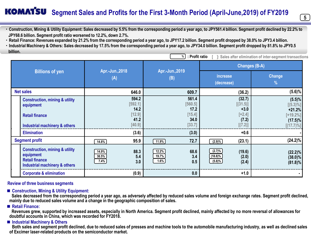### **KOMATSU Segment Sales and Profits for the First 3-Month Period (April-June,2019) of FY2019**

 $\begin{bmatrix} 5 \end{bmatrix}$ 

**・Construction, Mining & Utility Equipment: Sales decreased by 5.5% from the corresponding period a year ago, to JPY561.4 billion. Segment profit declined by 22.2% to JPY68.6 billion. Segment profit ratio worsened to 12.2%, down 2.7%.**

**・Retail Finance: Revenues expanded by 21.2% from the corresponding period a year ago, to JPY17.2 billion. Segment profit dropped by 38.0% to JPY3.4 billion.**

**・Industrial Machinery & Others: Sales decreased by 17.5% from the corresponding period a year ago, to JPY34.0 billion. Segment profit dropped by 81.8% to JPY0.5 billion.** 

| : Profit ratio<br>%<br>]: Sales after elimination of inter-segment transactions |                                                                                                                  |                                                        |                                                        |                                                              |                                                                                   |  |  |
|---------------------------------------------------------------------------------|------------------------------------------------------------------------------------------------------------------|--------------------------------------------------------|--------------------------------------------------------|--------------------------------------------------------------|-----------------------------------------------------------------------------------|--|--|
| <b>Billions of yen</b>                                                          |                                                                                                                  | Apr.-Jun., 2018<br>(A)                                 |                                                        |                                                              | <b>Changes (B-A)</b>                                                              |  |  |
|                                                                                 |                                                                                                                  |                                                        | Apr.-Jun., 2019<br>(B)                                 | increase<br>(decrease)                                       | Change<br>$\frac{9}{6}$                                                           |  |  |
|                                                                                 | <b>Net sales</b>                                                                                                 |                                                        | 609.7                                                  | (36.2)                                                       | $(5.6)\%$                                                                         |  |  |
|                                                                                 | <b>Construction, mining &amp; utility</b><br>equipment<br><b>Retail finance</b><br>Industrial machinery & others | 594.2<br>[592.1]<br>14.2<br>$[12.9]$<br>41.2<br>[40.9] | 561.4<br>[560.5]<br>17.2<br>[15.4]<br>34.0<br>$[33.7]$ | (32.7)<br>[(31.5)]<br>$+3.0$<br>$[-2.4]$<br>(7.2)<br>[(7.2)] | $(5.5)\%$<br>$[(5.3)\%]$<br>$+21.2%$<br>$[+19.2\%]$<br>$(17.5)\%$<br>$[(17.7)\%]$ |  |  |
|                                                                                 | <b>Elimination</b>                                                                                               | (3.6)                                                  | (3.0)                                                  | $+0.6$                                                       |                                                                                   |  |  |
|                                                                                 | <b>Segment profit</b>                                                                                            | 95.9<br>14.8%                                          | 72.7<br>11.9%                                          | (23.1)<br>(2.9)%                                             | $(24.2)\%$                                                                        |  |  |
|                                                                                 | <b>Construction, mining &amp; utility</b><br>equipment<br><b>Retail finance</b><br>Industrial machinery & others | 88.3<br>14.9%<br>38.5%<br>5.4<br>7.4%<br>3.0           | 12.2%<br>68.6<br>19.7%<br>3.4<br>1.6%<br>0.5           | (2.7)%<br>(19.6)<br>$(18.8)\%$<br>(2.0)<br>(5.8)%<br>(2.4)   | $(22.2)\%$<br>$(38.0)\%$<br>$(81.8)\%$                                            |  |  |
|                                                                                 | <b>Corporate &amp; elimination</b>                                                                               | (0.9)                                                  | 0.0                                                    | $+1.0$                                                       |                                                                                   |  |  |

#### **Review of three business segments**

#### ■ **Construction, Mining & Utility Equipment:**

**Sales decreased from the corresponding period a year ago, as adversely affected by reduced sales volume and foreign exchange rates. Segment profit declined, mainly due to reduced sales volume and a change in the geographic composition of sales.**

#### **■ Retail Finance:**

**Revenues grew, supported by increased assets, especially in North America. Segment profit declined, mainly affected by no more reversal of allowances for doubtful accounts in China, which was recorded for FY2018.**

#### **■ Industrial Machinery & Others**

**Both sales and segment profit declined, due to reduced sales of presses and machine tools to the automobile manufacturing industry, as well as declined sales of Excimer laser-related products on the semiconductor market.**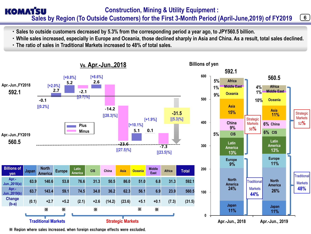### **Construction, Mining & Utility Equipment : KOMATSU Sales by Region (To Outside Customers) for the First 3-Month Period (April-June,2019) of FY2019**

- **・Sales to outside customers decreased by 5.3% from the corresponding period a year ago, to JPY560.5 billion.**
- **・While sales increased, especially in Europe and Oceania, those declined sharply in Asia and China. As a result, total sales declined.**

 $6)$ 

**・The ratio of sales in Traditional Markets increased to 48% of total sales.**



※ Region where sales increased, when foreign exchange effects were excluded.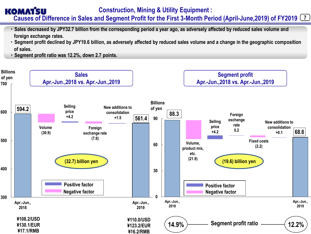#### **KOMATSU Construction, Mining & Utility Equipment :**  7 **Causes of Difference in Sales and Segment Profit for the First 3-Month Period (April-June,2019) of FY2019**

- **文字まだ ・Sales decreased by JPY32.7 billion from the corresponding period a year ago, as adversely affected by reduced sales volume and foreign exchange rates.**
- **・Segment profit declined by JPY19.6 billion, as adversely affected by reduced sales volume and a change in the geographic composition of sales.**
- **・Segment profit ratio was 12.2%, down 2.7 points.**

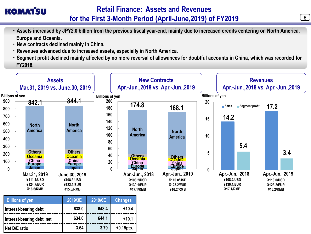- **・Assets increased by JPY2.0 billion from the previous fiscal year-end, mainly due to increased credits centering on North America, Europe and Oceania.**
- **・New contracts declined mainly in China.**
- **・Revenues advanced due to increased assets, especially in North America.**
- **・Segment profit declined mainly affected by no more reversal of allowances for doubtful accounts in China, which was recorded for FY2018.**



| <b>Billions of yen</b>     | 2019/3E | 2019/6E | <b>Changes</b> |
|----------------------------|---------|---------|----------------|
| Interest-bearing debt      | 638.0   | 648.4   | $+10.4$        |
| Interest-bearing debt, net | 634.0   | 644.1   | $+10.1$        |
| Net D/E ratio              | 3.64    | 3.79    | $+0.15$ pts.   |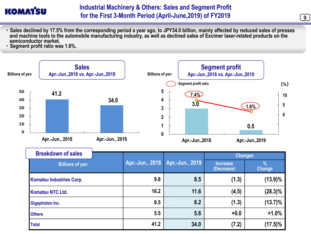- **・Sales declined by 17.5% from the corresponding period a year ago, to JPY34.0 billion, mainly affected by reduced sales of presses and machine tools to the automobile manufacturing industry, as well as declined sales of Excimer laser-related products on the semiconductor market.**
- **・Segment profit ratio was 1.6%.**



| <b>Breakdown of sales</b>       |                                   |      | <b>Changes</b>                |                                |
|---------------------------------|-----------------------------------|------|-------------------------------|--------------------------------|
| <b>Billions of yen</b>          | Apr.-Jun., 2018   Apr.-Jun., 2019 |      | <b>Increase</b><br>(Decrease) | $\frac{0}{0}$<br><b>Change</b> |
| <b>Komatsu Industries Corp.</b> | 9.8                               | 8.5  | (1.3)                         | $(13.9)\%$                     |
| <b>Komatsu NTC Ltd.</b>         | 16.2                              | 11.6 | (4.5)                         | $(28.3)\%$                     |
| <b>Gigaphoton Inc.</b>          | 9.5                               | 8.2  | (1.3)                         | $(13.7)\%$                     |
| <b>Others</b>                   | 5.5                               | 5.6  | $+0.0$                        | $+1.0%$                        |
| <b>Total</b>                    | 41.2                              | 34.0 | (7.2)                         | $(17.5)\%$                     |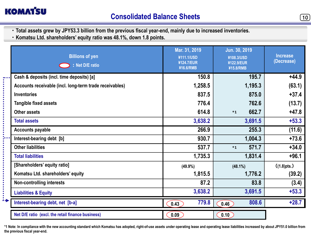

........

 $\ddot{\cdot}$ 

- **・Total assets grew by JPY53.3 billion from the previous fiscal year-end, mainly due to increased inventories.**
- **・Komatsu Ltd. shareholders' equity ratio was 48.1%, down 1.8 points.**

| <b>Billions of yen</b><br>: Net D/E ratio               | Mar. 31, 2019<br>¥111.1/USD<br>¥124.7/EUR<br>¥16.6/RMB | Jun. 30, 2019<br>¥108.3/USD<br>¥122.9/EUR<br>¥15.8/RMB | <b>Increase</b><br>(Decrease) |
|---------------------------------------------------------|--------------------------------------------------------|--------------------------------------------------------|-------------------------------|
| Cash & deposits (incl. time deposits) [a]               | 150.8                                                  | 195.7                                                  | $+44.9$                       |
| Accounts receivable (incl. long-term trade receivables) | 1,258.5                                                | 1,195.3                                                | (63.1)                        |
| <b>Inventories</b>                                      | 837.5                                                  | 875.0                                                  | $+37.4$                       |
| <b>Tangible fixed assets</b>                            | 776.4                                                  | 762.6                                                  | (13.7)                        |
| <b>Other assets</b>                                     | 614.8                                                  | 662.7<br>$*1$                                          | $+47.8$                       |
| <b>Total assets</b>                                     | 3,638.2                                                | 3,691.5                                                | $+53.3$                       |
| <b>Accounts payable</b>                                 | 266.9                                                  | 255.3                                                  | (11.6)                        |
| Interest-bearing debt [b]                               | 930.7                                                  | 1,004.3                                                | $+73.6$                       |
| <b>Other liabilities</b>                                | 537.7                                                  | 571.7<br>$*1$                                          | $+34.0$                       |
| <b>Total liabilities</b>                                | 1,735.3                                                | 1,831.4                                                | $+96.1$                       |
| [Shareholders' equity ratio]                            | $(49.9\%)$                                             | $(48.1\%)$                                             | ((1.8)pts.)                   |
| Komatsu Ltd. shareholders' equity                       | 1,815.5                                                | 1,776.2                                                | (39.2)                        |
| Non-controlling interests                               | 87.2                                                   | 83.8                                                   | (3.4)                         |
| <b>Liabilities &amp; Equity</b>                         | 3,638.2                                                | 3,691.5                                                | $+53.3$                       |
| Interest-bearing debt, net [b-a]                        | 779.8<br>0.43                                          | 808.6<br>0.46                                          | $+28.7$                       |
| Net D/E ratio (excl. the retail finance business)       | 0.09                                                   | 0.10                                                   |                               |

**\*1 Note: In compliance with the new accounting standard which Komatsu has adopted, right-of-use assets under operating lease and operating lease liabilities increased by about JPY51.0 billion from the previous fiscal year-end.**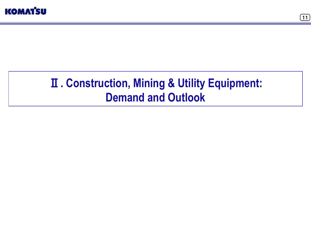



# **. Construction, Mining & Utility Equipment: Demand and Outlook**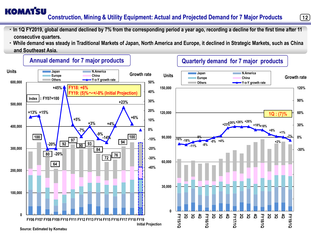### **KOMATSU Construction, Mining & Utility Equipment: Actual and Projected Demand for 7 Major Products**

**・In 1Q FY2019, global demand declined by 7% from the corresponding period a year ago, recording a decline for the first time after 11 consecutive quarters.**

 $(12)$ 

**・While demand was steady in Traditional Markets of Japan, North America and Europe, it declined in Strategic Markets, such as China and Southeast Asia.**

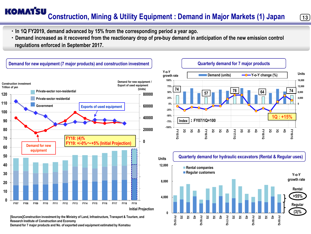### **KOMATSU Construction, Mining & Utility Equipment : Demand in Major Markets (1) Japan**

 $(13)$ 

**・In 1Q FY2019, demand advanced by 15% from the corresponding period a year ago.**

**・Demand increased as it recovered from the reactionary drop of pre-buy demand in anticipation of the new emission control regulations enforced in September 2017.**



**Demand for 7 major products and No. of exported used equipment estimated by Komatsu**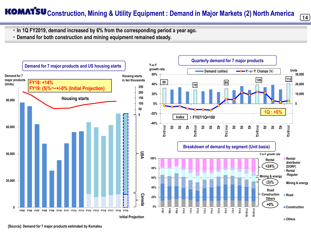# **KOMATSU** Construction, Mining & Utility Equipment : Demand in Major Markets (2) North America



- **・In 1Q FY2019, demand increased by 6% from the corresponding period a year ago.**
- **・Demand for both construction and mining equipment remained steady.**

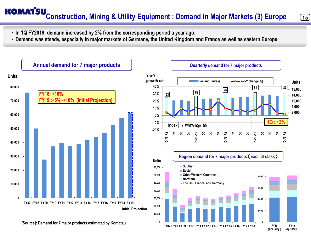# **KOMATSU**<br>Construction, Mining & Utility Equipment : Demand in Major Markets (3) Europe

- **・In 1Q FY2019, demand increased by 2% from the corresponding period a year ago.**
- **・Demand was steady, especially in major markets of Germany, the United Kingdom and France as well as eastern Europe.**



 $(15)$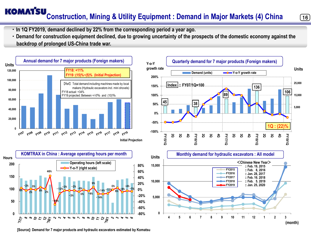# **KOMATSU**<br>Construction, Mining & Utility Equipment : Demand in Major Markets (4) China

**・In 1Q FY2019, demand declined by 22% from the corresponding period a year ago.** 

**・Demand for construction equipment declined, due to growing uncertainty of the prospects of the domestic economy against the backdrop of prolonged US-China trade war.**





**[Source]: Demand for 7 major products and hydraulic excavators estimated by Komatsu**



 $\left( 16 \right)$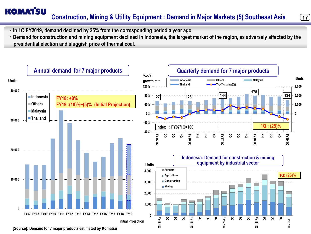### **KOMATSU Construction, Mining & Utility Equipment : Demand in Major Markets (5) Southeast Asia**

 $(17)$ 

**・In 1Q FY2019, demand declined by 25% from the corresponding period a year ago.** 

**・Demand for construction and mining equipment declined in Indonesia, the largest market of the region, as adversely affected by the presidential election and sluggish price of thermal coal.**



**[Source]: Demand for 7 major products estimated by Komatsu**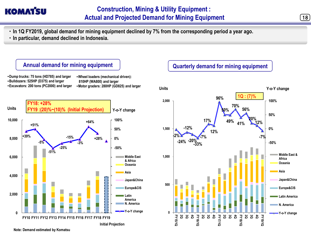- **・In 1Q FY2019, global demand for mining equipment declined by 7% from the corresponding period a year ago.**
- **・In particular, demand declined in Indonesia.**



### **Quarterly demand for mining equipment**

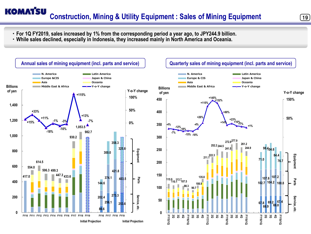### **KOMATSU Construction, Mining & Utility Equipment : Sales of Mining Equipment** (19)

- **・For 1Q FY2019, sales increased by 1% from the corresponding period a year ago, to JPY244.9 billion.**
- **・While sales declined, especially in Indonesia, they increased mainly in North America and Oceania.**



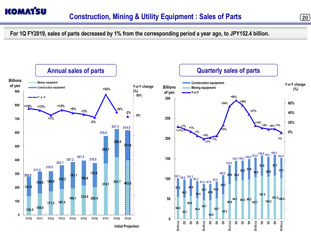

**For 1Q FY2019, sales of parts decreased by 1% from the corresponding period a year ago, to JPY152.4 billion.**

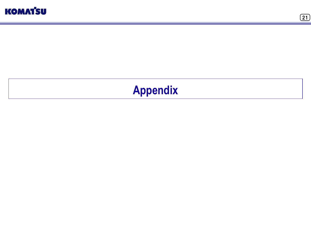



# **Appendix**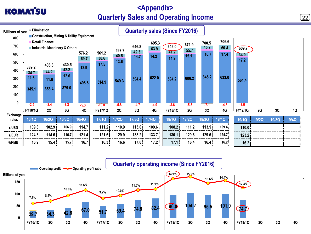## **<Appendix> Quarterly Sales and Operating Income**

**KOMATSU** 

 $\bm{(22)}$ 



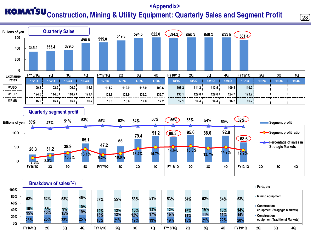## **<Appendix> KOMATSU** Construction, Mining & Utility Equipment: Quarterly Sales and Segment Profit



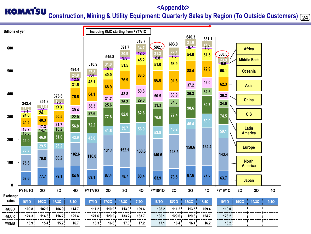#### **<Appendix> KOMATSU Construction, Mining & Utility Equipment: Quarterly Sales by Region (To Outside Customers)** (24

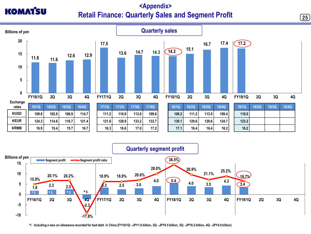## **<Appendix> Retail Finance: Quarterly Sales and Segment Profit**

 $\bm{(25)}$ 





**\*1 Including a loss on allowance recorded for bad debt in China (FY16/1Q: -JPY1.0 billion, 2Q: -JPY0.5 billion, 3Q: -JPY0.2 billion, 4Q: -JPY4.9 billion)**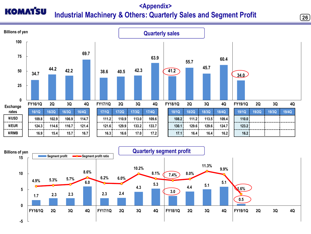### **<Appendix> KOMATSU Industrial Machinery & Others: Quarterly Sales and Segment Profit**

 $(26)$ 



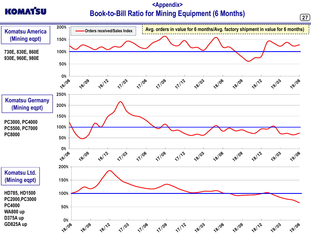### **<Appendix> Book-to-Bill Ratio for Mining Equipment (6 Months)**

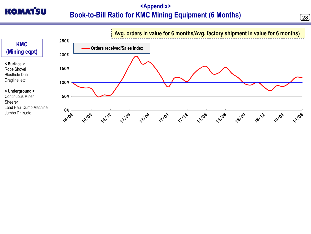## **<Appendix> Book-to-Bill Ratio for KMC Mining Equipment (6 Months)**

**KOMAT'SU** 

 $\bm{[28]}$ 

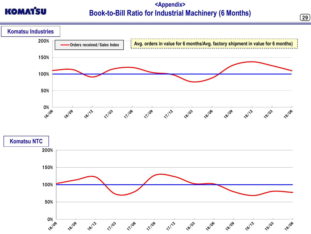

### **<Appendix> Book-to-Bill Ratio for Industrial Machinery (6 Months)**